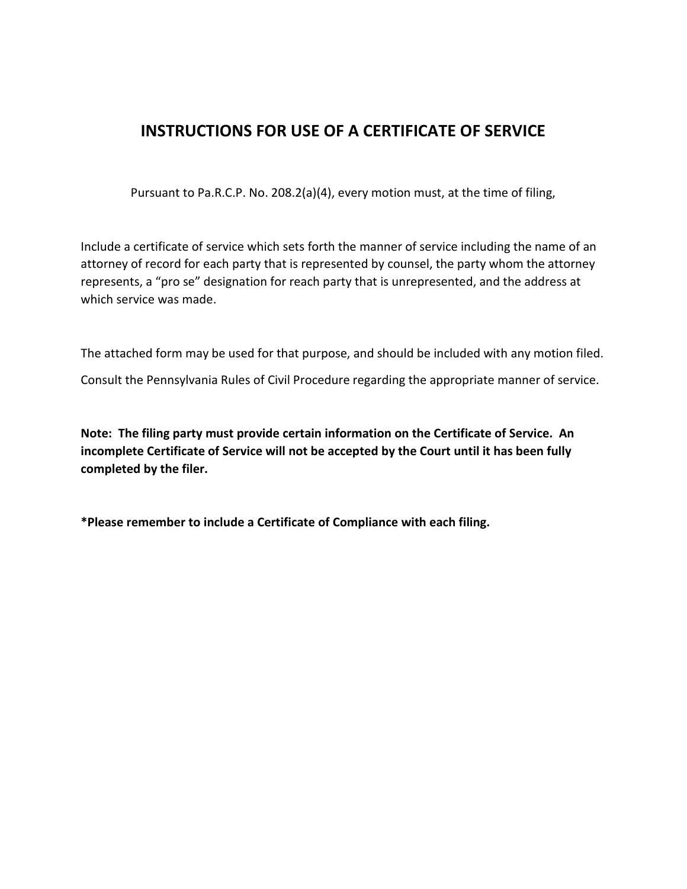## **INSTRUCTIONS FOR USE OF A CERTIFICATE OF SERVICE**

Pursuant to Pa.R.C.P. No. 208.2(a)(4), every motion must, at the time of filing,

Include a certificate of service which sets forth the manner of service including the name of an attorney of record for each party that is represented by counsel, the party whom the attorney represents, a "pro se" designation for reach party that is unrepresented, and the address at which service was made.

The attached form may be used for that purpose, and should be included with any motion filed.

Consult the Pennsylvania Rules of Civil Procedure regarding the appropriate manner of service.

**Note: The filing party must provide certain information on the Certificate of Service. An incomplete Certificate of Service will not be accepted by the Court until it has been fully completed by the filer.**

**\*Please remember to include a Certificate of Compliance with each filing.**